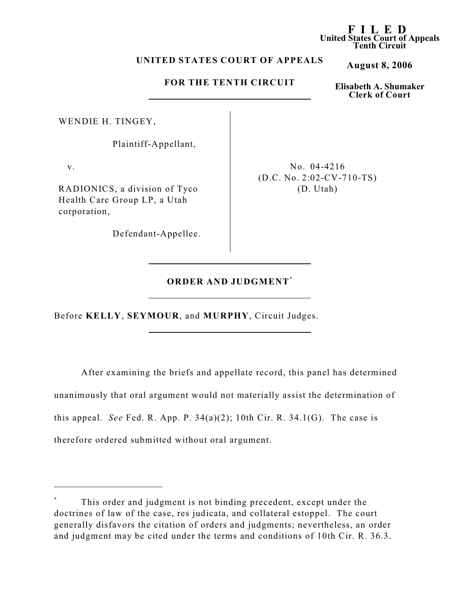## **UNITED STATES COURT OF APPEALS**

# **FOR THE TENTH CIRCUIT**

WENDIE H. TINGEY,

Plaintiff-Appellant,

v.

RADIONICS, a division of Tyco Health Care Group LP, a Utah corporation,

Defendant-Appellee.

No. 04-4216 (D.C. No. 2:02-CV-710-TS) (D. Utah)

# **ORDER AND JUDGMENT \***

Before **KELLY**, **SEYMOUR**, and **MURPHY**, Circuit Judges.

After examining the briefs and appellate record, this panel has determined unanimously that oral argument would not materially assist the determination of this appeal. *See* Fed. R. App. P.  $34(a)(2)$ ; 10th Cir. R.  $34.1(G)$ . The case is therefore ordered submitted without oral argument.

**F I LED United States Court of Appeals Tenth Circuit**

**August 8, 2006**

**Elisabeth A. Shumaker Clerk of Court**

This order and judgment is not binding precedent, except under the doctrines of law of the case, res judicata, and collateral estoppel. The court generally disfavors the citation of orders and judgments; nevertheless, an order and judgment may be cited under the terms and conditions of 10th Cir. R. 36.3.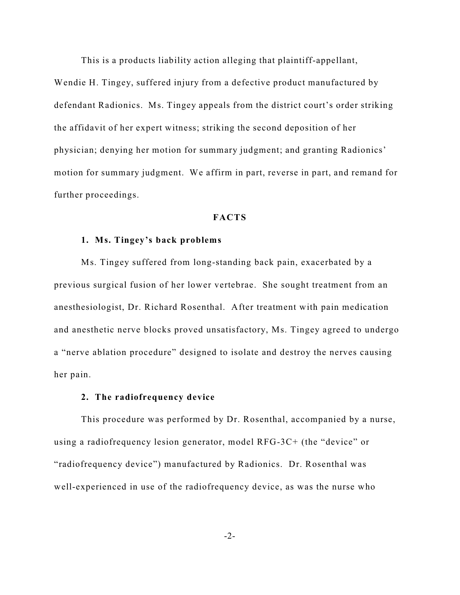This is a products liability action alleging that plaintiff-appellant,

Wendie H. Tingey, suffered injury from a defective product manufactured by defendant Radionics. Ms. Tingey appeals from the district court's order striking the affidavit of her expert witness; striking the second deposition of her physician; denying her motion for summary judgment; and granting Radionics' motion for summary judgment. We affirm in part, reverse in part, and remand for further proceedings.

#### **FACTS**

#### **1. Ms. Tingey's back problems**

Ms. Tingey suffered from long-standing back pain, exacerbated by a previous surgical fusion of her lower vertebrae. She sought treatment from an anesthesiologist, Dr. Richard Rosenthal. After treatment with pain medication and anesthetic nerve blocks proved unsatisfactory, Ms. Tingey agreed to undergo a "nerve ablation procedure" designed to isolate and destroy the nerves causing her pain.

## **2. The radiofrequency device**

This procedure was performed by Dr. Rosenthal, accompanied by a nurse, using a radiofrequency lesion generator, model RFG-3C+ (the "device" or "radiofrequency device") manufactured by Radionics. Dr. Rosenthal was well-experienced in use of the radiofrequency device, as was the nurse who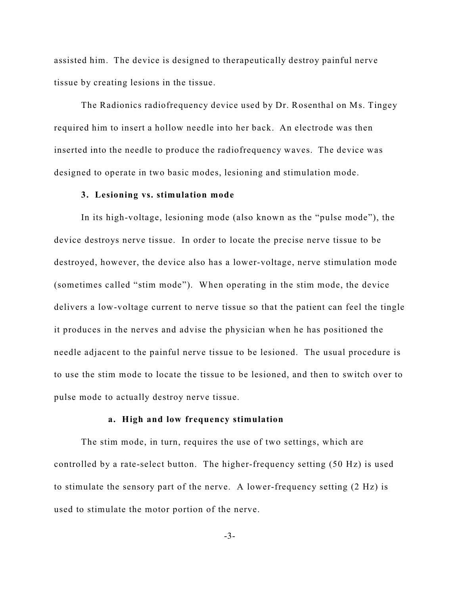assisted him. The device is designed to therapeutically destroy painful nerve tissue by creating lesions in the tissue.

The Radionics radiofrequency device used by Dr. Rosenthal on Ms. Tingey required him to insert a hollow needle into her back. An electrode was then inserted into the needle to produce the radiofrequency waves. The device was designed to operate in two basic modes, lesioning and stimulation mode.

#### **3. Lesioning vs. stimulation mode**

In its high-voltage, lesioning mode (also known as the "pulse mode"), the device destroys nerve tissue. In order to locate the precise nerve tissue to be destroyed, however, the device also has a lower-voltage, nerve stimulation mode (sometimes called "stim mode"). When operating in the stim mode, the device delivers a low-voltage current to nerve tissue so that the patient can feel the tingle it produces in the nerves and advise the physician when he has positioned the needle adjacent to the painful nerve tissue to be lesioned. The usual procedure is to use the stim mode to locate the tissue to be lesioned, and then to switch over to pulse mode to actually destroy nerve tissue.

#### **a. High and low frequency stimulation**

The stim mode, in turn, requires the use of two settings, which are controlled by a rate-select button. The higher-frequency setting (50 Hz) is used to stimulate the sensory part of the nerve. A lower-frequency setting (2 Hz) is used to stimulate the motor portion of the nerve.

-3-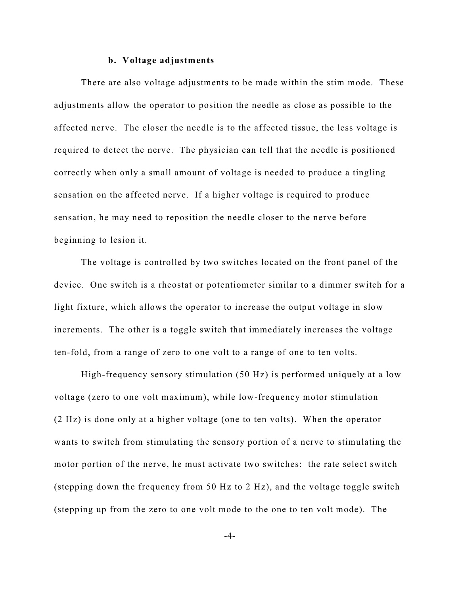#### **b. Voltage adjustments**

There are also voltage adjustments to be made within the stim mode. These adjustments allow the operator to position the needle as close as possible to the affected nerve. The closer the needle is to the affected tissue, the less voltage is required to detect the nerve. The physician can tell that the needle is positioned correctly when only a small amount of voltage is needed to produce a tingling sensation on the affected nerve. If a higher voltage is required to produce sensation, he may need to reposition the needle closer to the nerve before beginning to lesion it.

The voltage is controlled by two switches located on the front panel of the device. One switch is a rheostat or potentiometer similar to a dimmer switch for a light fixture, which allows the operator to increase the output voltage in slow increments. The other is a toggle switch that immediately increases the voltage ten-fold, from a range of zero to one volt to a range of one to ten volts.

High-frequency sensory stimulation (50 Hz) is performed uniquely at a low voltage (zero to one volt maximum), while low-frequency motor stimulation (2 Hz) is done only at a higher voltage (one to ten volts). When the operator wants to switch from stimulating the sensory portion of a nerve to stimulating the motor portion of the nerve, he must activate two switches: the rate select switch (stepping down the frequency from 50 Hz to 2 Hz), and the voltage toggle switch (stepping up from the zero to one volt mode to the one to ten volt mode). The

-4-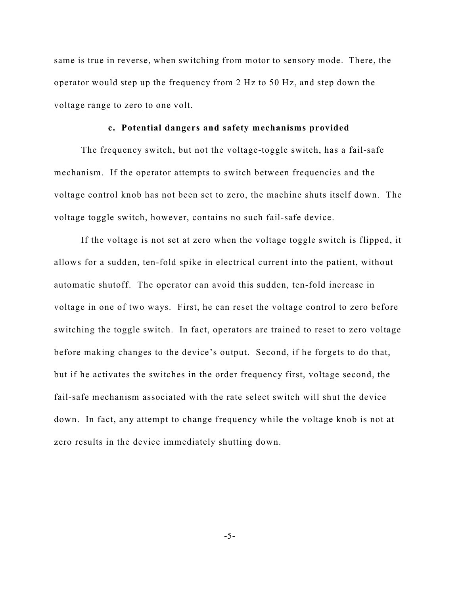same is true in reverse, when switching from motor to sensory mode. There, the operator would step up the frequency from 2 Hz to 50 Hz, and step down the voltage range to zero to one volt.

### **c. Potential dangers and safety mechanisms provided**

The frequency switch, but not the voltage-toggle switch, has a fail-safe mechanism. If the operator attempts to switch between frequencies and the voltage control knob has not been set to zero, the machine shuts itself down. The voltage toggle switch, however, contains no such fail-safe device.

If the voltage is not set at zero when the voltage toggle switch is flipped, it allows for a sudden, ten-fold spike in electrical current into the patient, without automatic shutoff. The operator can avoid this sudden, ten-fold increase in voltage in one of two ways. First, he can reset the voltage control to zero before switching the toggle switch. In fact, operators are trained to reset to zero voltage before making changes to the device's output. Second, if he forgets to do that, but if he activates the switches in the order frequency first, voltage second, the fail-safe mechanism associated with the rate select switch will shut the device down. In fact, any attempt to change frequency while the voltage knob is not at zero results in the device immediately shutting down.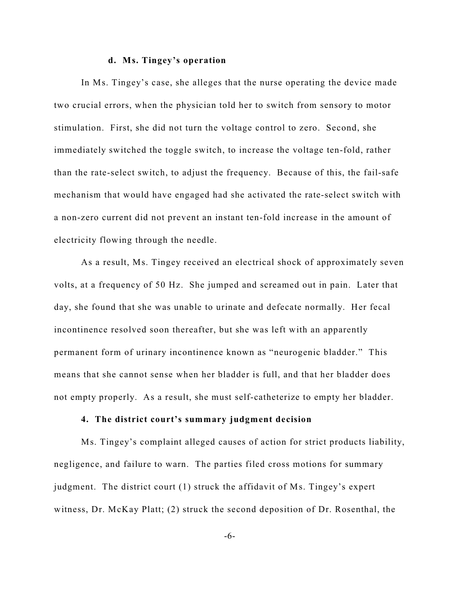#### **d. Ms. Tingey's operation**

In Ms. Tingey's case, she alleges that the nurse operating the device made two crucial errors, when the physician told her to switch from sensory to motor stimulation. First, she did not turn the voltage control to zero. Second, she immediately switched the toggle switch, to increase the voltage ten-fold, rather than the rate-select switch, to adjust the frequency. Because of this, the fail-safe mechanism that would have engaged had she activated the rate-select switch with a non-zero current did not prevent an instant ten-fold increase in the amount of electricity flowing through the needle.

As a result, Ms. Tingey received an electrical shock of approximately seven volts, at a frequency of 50 Hz. She jumped and screamed out in pain. Later that day, she found that she was unable to urinate and defecate normally. Her fecal incontinence resolved soon thereafter, but she was left with an apparently permanent form of urinary incontinence known as "neurogenic bladder." This means that she cannot sense when her bladder is full, and that her bladder does not empty properly. As a result, she must self-catheterize to empty her bladder.

## **4. The district court's summary judgment decision**

Ms. Tingey's complaint alleged causes of action for strict products liability, negligence, and failure to warn. The parties filed cross motions for summary judgment. The district court (1) struck the affidavit of Ms. Tingey's expert witness, Dr. McKay Platt; (2) struck the second deposition of Dr. Rosenthal, the

-6-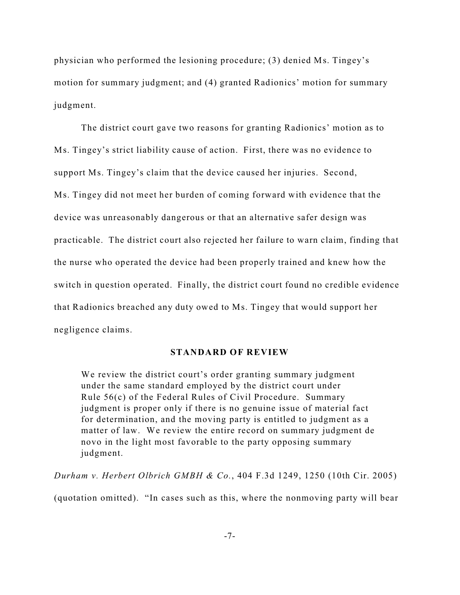physician who performed the lesioning procedure; (3) denied Ms. Tingey's motion for summary judgment; and (4) granted Radionics' motion for summary judgment.

The district court gave two reasons for granting Radionics' motion as to Ms. Tingey's strict liability cause of action. First, there was no evidence to support Ms. Tingey's claim that the device caused her injuries. Second, Ms. Tingey did not meet her burden of coming forward with evidence that the device was unreasonably dangerous or that an alternative safer design was practicable. The district court also rejected her failure to warn claim, finding that the nurse who operated the device had been properly trained and knew how the switch in question operated. Finally, the district court found no credible evidence that Radionics breached any duty owed to Ms. Tingey that would support her negligence claims.

## **STANDARD OF REVIEW**

We review the district court's order granting summary judgment under the same standard employed by the district court under Rule 56(c) of the Federal Rules of Civil Procedure. Summary judgment is proper only if there is no genuine issue of material fact for determination, and the moving party is entitled to judgment as a matter of law. We review the entire record on summary judgment de novo in the light most favorable to the party opposing summary judgment.

*Durham v. Herbert Olbrich GMBH & Co.*, 404 F.3d 1249, 1250 (10th Cir. 2005) (quotation omitted). "In cases such as this, where the nonmoving party will bear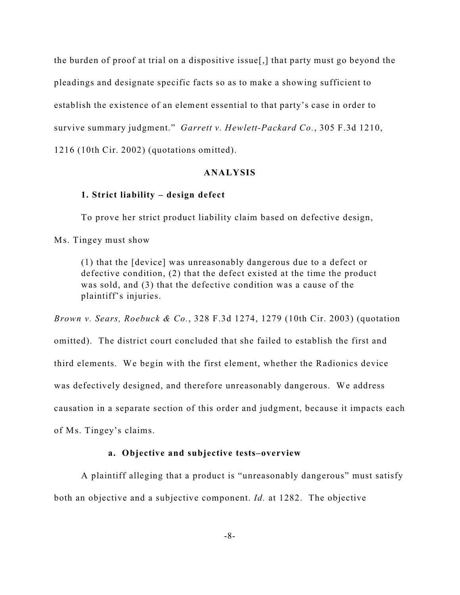the burden of proof at trial on a dispositive issue[,] that party must go beyond the pleadings and designate specific facts so as to make a showing sufficient to establish the existence of an element essential to that party's case in order to survive summary judgment." *Garrett v. Hewlett-Packard Co.*, 305 F.3d 1210, 1216 (10th Cir. 2002) (quotations omitted).

### **ANALYSIS**

### **1. Strict liability – design defect**

To prove her strict product liability claim based on defective design,

Ms. Tingey must show

(1) that the [device] was unreasonably dangerous due to a defect or defective condition, (2) that the defect existed at the time the product was sold, and (3) that the defective condition was a cause of the plaintiff's injuries.

*Brown v. Sears, Roebuck & Co.*, 328 F.3d 1274, 1279 (10th Cir. 2003) (quotation omitted). The district court concluded that she failed to establish the first and third elements. We begin with the first element, whether the Radionics device was defectively designed, and therefore unreasonably dangerous. We address causation in a separate section of this order and judgment, because it impacts each of Ms. Tingey's claims.

### **a. Objective and subjective tests–overview**

A plaintiff alleging that a product is "unreasonably dangerous" must satisfy both an objective and a subjective component. *Id.* at 1282. The objective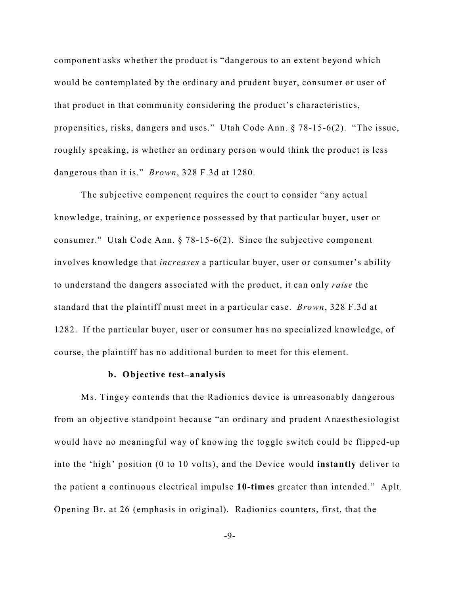component asks whether the product is "dangerous to an extent beyond which would be contemplated by the ordinary and prudent buyer, consumer or user of that product in that community considering the product's characteristics, propensities, risks, dangers and uses." Utah Code Ann. § 78-15-6(2). "The issue, roughly speaking, is whether an ordinary person would think the product is less dangerous than it is." *Brown*, 328 F.3d at 1280.

The subjective component requires the court to consider "any actual knowledge, training, or experience possessed by that particular buyer, user or consumer." Utah Code Ann. § 78-15-6(2). Since the subjective component involves knowledge that *increases* a particular buyer, user or consumer's ability to understand the dangers associated with the product, it can only *raise* the standard that the plaintiff must meet in a particular case. *Brown*, 328 F.3d at 1282. If the particular buyer, user or consumer has no specialized knowledge, of course, the plaintiff has no additional burden to meet for this element.

### **b. Objective test–analysis**

 Ms. Tingey contends that the Radionics device is unreasonably dangerous from an objective standpoint because "an ordinary and prudent Anaesthesiologist would have no meaningful way of knowing the toggle switch could be flipped-up into the 'high' position (0 to 10 volts), and the Device would **instantly** deliver to the patient a continuous electrical impulse **10-times** greater than intended." Aplt. Opening Br. at 26 (emphasis in original). Radionics counters, first, that the

-9-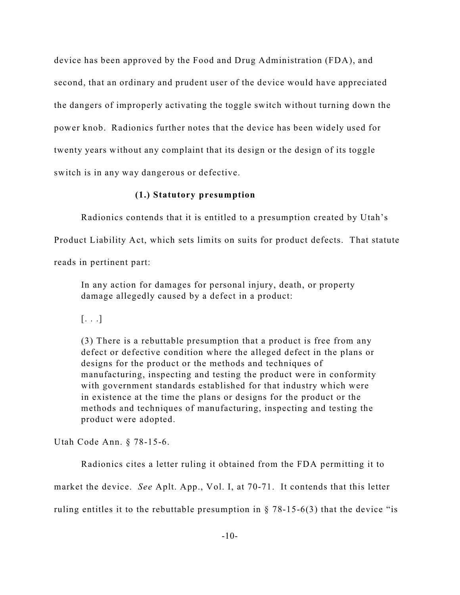device has been approved by the Food and Drug Administration (FDA), and second, that an ordinary and prudent user of the device would have appreciated the dangers of improperly activating the toggle switch without turning down the power knob. Radionics further notes that the device has been widely used for twenty years without any complaint that its design or the design of its toggle switch is in any way dangerous or defective.

## **(1.) Statutory presumption**

Radionics contends that it is entitled to a presumption created by Utah's

Product Liability Act, which sets limits on suits for product defects. That statute

reads in pertinent part:

In any action for damages for personal injury, death, or property damage allegedly caused by a defect in a product:

 $[\ldots]$ 

(3) There is a rebuttable presumption that a product is free from any defect or defective condition where the alleged defect in the plans or designs for the product or the methods and techniques of manufacturing, inspecting and testing the product were in conformity with government standards established for that industry which were in existence at the time the plans or designs for the product or the methods and techniques of manufacturing, inspecting and testing the product were adopted.

Utah Code Ann. § 78-15-6.

Radionics cites a letter ruling it obtained from the FDA permitting it to market the device. *See* Aplt. App., Vol. I, at 70-71. It contends that this letter ruling entitles it to the rebuttable presumption in  $\S$  78-15-6(3) that the device "is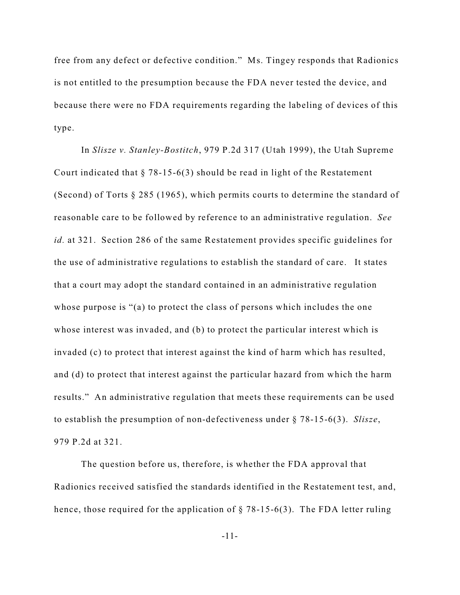free from any defect or defective condition." Ms. Tingey responds that Radionics is not entitled to the presumption because the FDA never tested the device, and because there were no FDA requirements regarding the labeling of devices of this type.

In *Slisze v. Stanley-Bostitch*, 979 P.2d 317 (Utah 1999), the Utah Supreme Court indicated that  $\S$  78-15-6(3) should be read in light of the Restatement (Second) of Torts § 285 (1965), which permits courts to determine the standard of reasonable care to be followed by reference to an administrative regulation. *See id.* at 321. Section 286 of the same Restatement provides specific guidelines for the use of administrative regulations to establish the standard of care. It states that a court may adopt the standard contained in an administrative regulation whose purpose is "(a) to protect the class of persons which includes the one whose interest was invaded, and (b) to protect the particular interest which is invaded (c) to protect that interest against the kind of harm which has resulted, and (d) to protect that interest against the particular hazard from which the harm results." An administrative regulation that meets these requirements can be used to establish the presumption of non-defectiveness under § 78-15-6(3). *Slisze*, 979 P.2d at 321.

The question before us, therefore, is whether the FDA approval that Radionics received satisfied the standards identified in the Restatement test, and, hence, those required for the application of  $\S$  78-15-6(3). The FDA letter ruling

-11-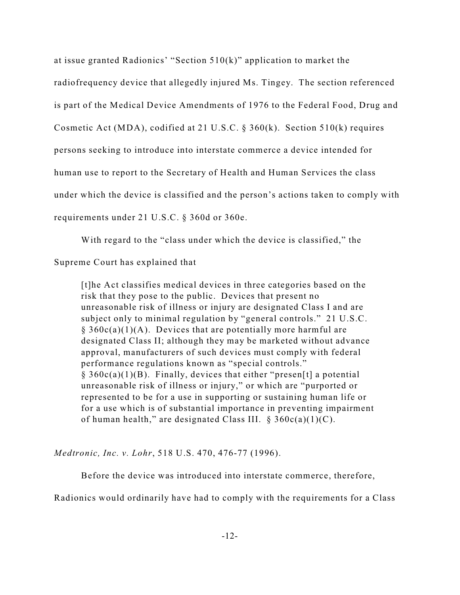at issue granted Radionics' "Section 510(k)" application to market the radiofrequency device that allegedly injured Ms. Tingey. The section referenced is part of the Medical Device Amendments of 1976 to the Federal Food, Drug and Cosmetic Act (MDA), codified at 21 U.S.C. § 360(k). Section 510(k) requires persons seeking to introduce into interstate commerce a device intended for human use to report to the Secretary of Health and Human Services the class under which the device is classified and the person's actions taken to comply with requirements under 21 U.S.C. § 360d or 360e.

With regard to the "class under which the device is classified," the

Supreme Court has explained that

[t]he Act classifies medical devices in three categories based on the risk that they pose to the public. Devices that present no unreasonable risk of illness or injury are designated Class I and are subject only to minimal regulation by "general controls." 21 U.S.C.  $§ 360c(a)(1)(A)$ . Devices that are potentially more harmful are designated Class II; although they may be marketed without advance approval, manufacturers of such devices must comply with federal performance regulations known as "special controls."  $§ 360c(a)(1)(B)$ . Finally, devices that either "presen[t] a potential unreasonable risk of illness or injury," or which are "purported or represented to be for a use in supporting or sustaining human life or for a use which is of substantial importance in preventing impairment of human health," are designated Class III.  $\S 360c(a)(1)(C)$ .

*Medtronic, Inc. v. Lohr*, 518 U.S. 470, 476-77 (1996).

Before the device was introduced into interstate commerce, therefore,

Radionics would ordinarily have had to comply with the requirements for a Class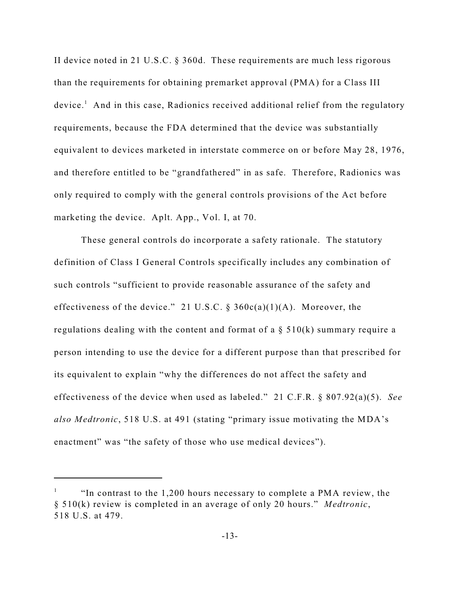II device noted in 21 U.S.C. § 360d. These requirements are much less rigorous than the requirements for obtaining premarket approval (PMA) for a Class III  $device<sup>1</sup>$ . And in this case, Radionics received additional relief from the regulatory requirements, because the FDA determined that the device was substantially equivalent to devices marketed in interstate commerce on or before May 28, 1976, and therefore entitled to be "grandfathered" in as safe. Therefore, Radionics was only required to comply with the general controls provisions of the Act before marketing the device. Aplt. App., Vol. I, at 70.

These general controls do incorporate a safety rationale. The statutory definition of Class I General Controls specifically includes any combination of such controls "sufficient to provide reasonable assurance of the safety and effectiveness of the device." 21 U.S.C. §  $360c(a)(1)(A)$ . Moreover, the regulations dealing with the content and format of a  $\S$  510(k) summary require a person intending to use the device for a different purpose than that prescribed for its equivalent to explain "why the differences do not affect the safety and effectiveness of the device when used as labeled." 21 C.F.R. § 807.92(a)(5). *See also Medtronic*, 518 U.S. at 491 (stating "primary issue motivating the MDA's enactment" was "the safety of those who use medical devices").

<sup>&</sup>quot;In contrast to the 1,200 hours necessary to complete a PMA review, the <sup>1</sup> § 510(k) review is completed in an average of only 20 hours." *Medtronic*, 518 U.S. at 479.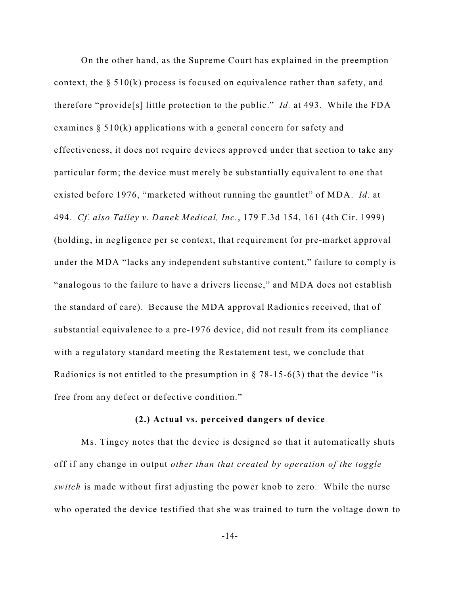On the other hand, as the Supreme Court has explained in the preemption context, the § 510(k) process is focused on equivalence rather than safety, and therefore "provide[s] little protection to the public." *Id.* at 493. While the FDA examines § 510(k) applications with a general concern for safety and effectiveness, it does not require devices approved under that section to take any particular form; the device must merely be substantially equivalent to one that existed before 1976, "marketed without running the gauntlet" of MDA. *Id.* at 494. *Cf. also Talley v. Danek Medical, Inc.*, 179 F.3d 154, 161 (4th Cir. 1999) (holding, in negligence per se context, that requirement for pre-market approval under the MDA "lacks any independent substantive content," failure to comply is "analogous to the failure to have a drivers license," and MDA does not establish the standard of care). Because the MDA approval Radionics received, that of substantial equivalence to a pre-1976 device, did not result from its compliance with a regulatory standard meeting the Restatement test, we conclude that Radionics is not entitled to the presumption in  $\S$  78-15-6(3) that the device "is free from any defect or defective condition."

#### **(2.) Actual vs. perceived dangers of device**

Ms. Tingey notes that the device is designed so that it automatically shuts off if any change in output *other than that created by operation of the toggle switch* is made without first adjusting the power knob to zero. While the nurse who operated the device testified that she was trained to turn the voltage down to

-14-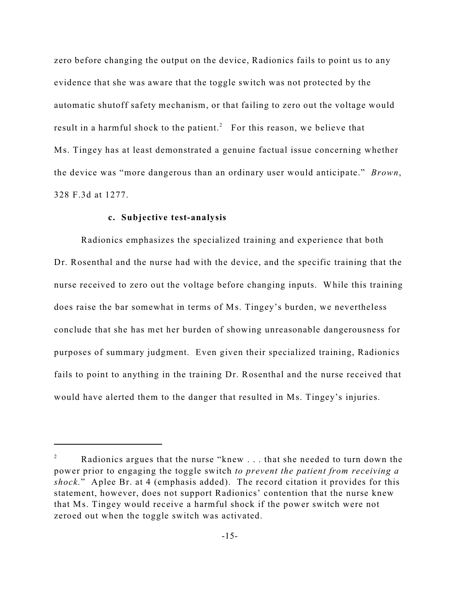zero before changing the output on the device, Radionics fails to point us to any evidence that she was aware that the toggle switch was not protected by the automatic shutoff safety mechanism, or that failing to zero out the voltage would result in a harmful shock to the patient.<sup>2</sup> For this reason, we believe that Ms. Tingey has at least demonstrated a genuine factual issue concerning whether the device was "more dangerous than an ordinary user would anticipate." *Brown*, 328 F.3d at 1277.

### **c. Subjective test-analysis**

Radionics emphasizes the specialized training and experience that both Dr. Rosenthal and the nurse had with the device, and the specific training that the nurse received to zero out the voltage before changing inputs. While this training does raise the bar somewhat in terms of Ms. Tingey's burden, we nevertheless conclude that she has met her burden of showing unreasonable dangerousness for purposes of summary judgment. Even given their specialized training, Radionics fails to point to anything in the training Dr. Rosenthal and the nurse received that would have alerted them to the danger that resulted in Ms. Tingey's injuries.

 $\alpha$  Radionics argues that the nurse "knew ... that she needed to turn down the power prior to engaging the toggle switch *to prevent the patient from receiving a shock.*" Aplee Br. at 4 (emphasis added). The record citation it provides for this statement, however, does not support Radionics' contention that the nurse knew that Ms. Tingey would receive a harmful shock if the power switch were not zeroed out when the toggle switch was activated.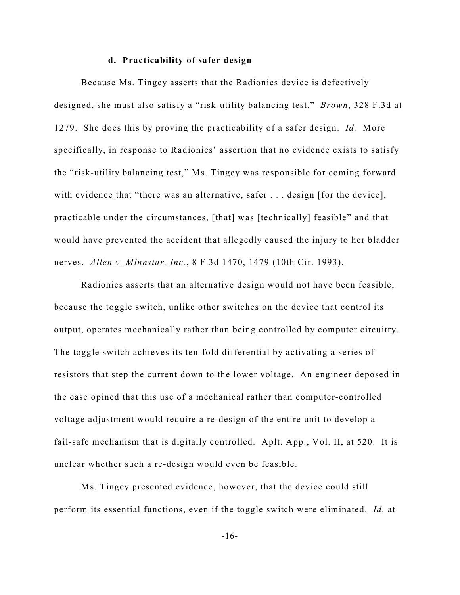#### **d. Practicability of safer design**

Because Ms. Tingey asserts that the Radionics device is defectively designed, she must also satisfy a "risk-utility balancing test." *Brown*, 328 F.3d at 1279. She does this by proving the practicability of a safer design. *Id.* More specifically, in response to Radionics' assertion that no evidence exists to satisfy the "risk-utility balancing test," Ms. Tingey was responsible for coming forward with evidence that "there was an alternative, safer . . . design [for the device], practicable under the circumstances, [that] was [technically] feasible" and that would have prevented the accident that allegedly caused the injury to her bladder nerves. *Allen v. Minnstar, Inc.*, 8 F.3d 1470, 1479 (10th Cir. 1993).

Radionics asserts that an alternative design would not have been feasible, because the toggle switch, unlike other switches on the device that control its output, operates mechanically rather than being controlled by computer circuitry. The toggle switch achieves its ten-fold differential by activating a series of resistors that step the current down to the lower voltage. An engineer deposed in the case opined that this use of a mechanical rather than computer-controlled voltage adjustment would require a re-design of the entire unit to develop a fail-safe mechanism that is digitally controlled. Aplt. App., Vol. II, at 520. It is unclear whether such a re-design would even be feasible.

Ms. Tingey presented evidence, however, that the device could still perform its essential functions, even if the toggle switch were eliminated. *Id.* at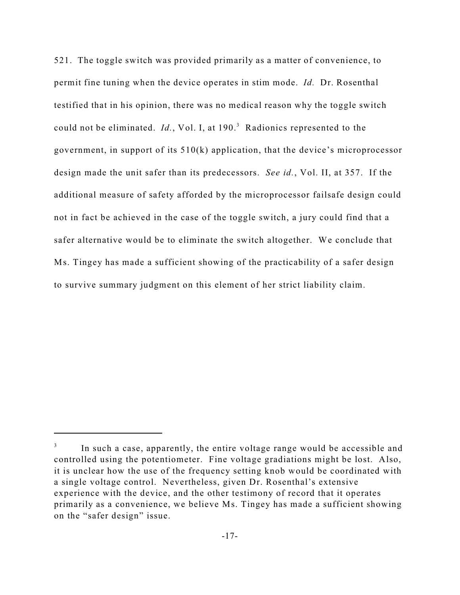521. The toggle switch was provided primarily as a matter of convenience, to permit fine tuning when the device operates in stim mode. *Id.* Dr. Rosenthal testified that in his opinion, there was no medical reason why the toggle switch could not be eliminated. *Id.*, Vol. I, at 190.<sup>3</sup> Radionics represented to the government, in support of its 510(k) application, that the device's microprocessor design made the unit safer than its predecessors. *See id.*, Vol. II, at 357. If the additional measure of safety afforded by the microprocessor failsafe design could not in fact be achieved in the case of the toggle switch, a jury could find that a safer alternative would be to eliminate the switch altogether. We conclude that Ms. Tingey has made a sufficient showing of the practicability of a safer design to survive summary judgment on this element of her strict liability claim.

In such a case, apparently, the entire voltage range would be accessible and controlled using the potentiometer. Fine voltage gradiations might be lost. Also, it is unclear how the use of the frequency setting knob would be coordinated with a single voltage control. Nevertheless, given Dr. Rosenthal's extensive experience with the device, and the other testimony of record that it operates primarily as a convenience, we believe Ms. Tingey has made a sufficient showing on the "safer design" issue.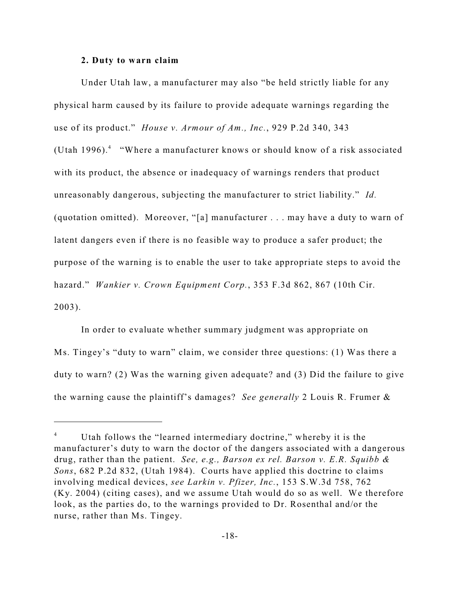#### **2. Duty to warn claim**

Under Utah law, a manufacturer may also "be held strictly liable for any physical harm caused by its failure to provide adequate warnings regarding the use of its product." *House v. Armour of Am., Inc.*, 929 P.2d 340, 343 (Utah 1996).<sup>4</sup> "Where a manufacturer knows or should know of a risk associated with its product, the absence or inadequacy of warnings renders that product unreasonably dangerous, subjecting the manufacturer to strict liability." *Id.* (quotation omitted). Moreover, "[a] manufacturer . . . may have a duty to warn of latent dangers even if there is no feasible way to produce a safer product; the purpose of the warning is to enable the user to take appropriate steps to avoid the hazard." *Wankier v. Crown Equipment Corp.*, 353 F.3d 862, 867 (10th Cir. 2003).

In order to evaluate whether summary judgment was appropriate on Ms. Tingey's "duty to warn" claim, we consider three questions: (1) Was there a duty to warn? (2) Was the warning given adequate? and (3) Did the failure to give the warning cause the plaintiff's damages? *See generally* 2 Louis R. Frumer &

Utah follows the "learned intermediary doctrine," whereby it is the <sup>4</sup> manufacturer's duty to warn the doctor of the dangers associated with a dangerous drug, rather than the patient. *See, e.g., Barson ex rel. Barson v. E.R. Squibb & Sons*, 682 P.2d 832, (Utah 1984). Courts have applied this doctrine to claims involving medical devices, *see Larkin v. Pfizer, Inc.*, 153 S.W.3d 758, 762 (Ky. 2004) (citing cases), and we assume Utah would do so as well. We therefore look, as the parties do, to the warnings provided to Dr. Rosenthal and/or the nurse, rather than Ms. Tingey.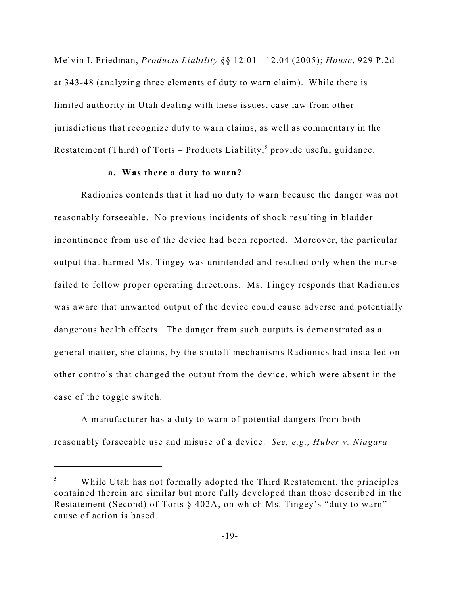Melvin I. Friedman, *Products Liability* §§ 12.01 - 12.04 (2005); *House*, 929 P.2d at 343-48 (analyzing three elements of duty to warn claim). While there is limited authority in Utah dealing with these issues, case law from other jurisdictions that recognize duty to warn claims, as well as commentary in the Restatement (Third) of Torts – Products Liability,<sup>5</sup> provide useful guidance.

#### **a. Was there a duty to warn?**

Radionics contends that it had no duty to warn because the danger was not reasonably forseeable. No previous incidents of shock resulting in bladder incontinence from use of the device had been reported. Moreover, the particular output that harmed Ms. Tingey was unintended and resulted only when the nurse failed to follow proper operating directions. Ms. Tingey responds that Radionics was aware that unwanted output of the device could cause adverse and potentially dangerous health effects. The danger from such outputs is demonstrated as a general matter, she claims, by the shutoff mechanisms Radionics had installed on other controls that changed the output from the device, which were absent in the case of the toggle switch.

A manufacturer has a duty to warn of potential dangers from both reasonably forseeable use and misuse of a device.*See, e.g., Huber v. Niagara*

While Utah has not formally adopted the Third Restatement, the principles contained therein are similar but more fully developed than those described in the Restatement (Second) of Torts § 402A, on which Ms. Tingey's "duty to warn" cause of action is based.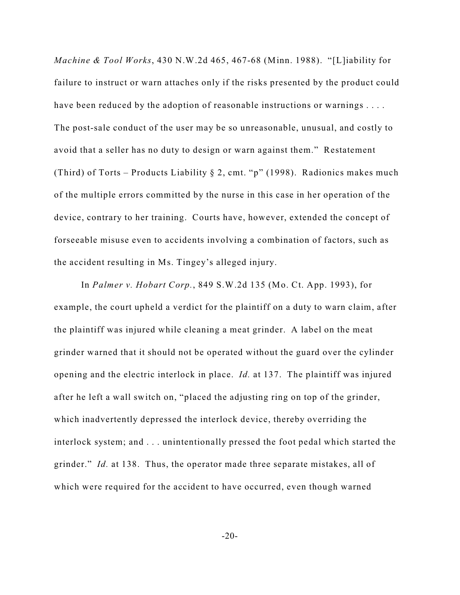*Machine & Tool Works*, 430 N.W.2d 465, 467-68 (Minn. 1988). "[L]iability for failure to instruct or warn attaches only if the risks presented by the product could have been reduced by the adoption of reasonable instructions or warnings .... The post-sale conduct of the user may be so unreasonable, unusual, and costly to avoid that a seller has no duty to design or warn against them." Restatement (Third) of Torts – Products Liability  $\S 2$ , cmt. "p" (1998). Radionics makes much of the multiple errors committed by the nurse in this case in her operation of the device, contrary to her training. Courts have, however, extended the concept of forseeable misuse even to accidents involving a combination of factors, such as the accident resulting in Ms. Tingey's alleged injury.

In *Palmer v. Hobart Corp.*, 849 S.W.2d 135 (Mo. Ct. App. 1993), for example, the court upheld a verdict for the plaintiff on a duty to warn claim, after the plaintiff was injured while cleaning a meat grinder. A label on the meat grinder warned that it should not be operated without the guard over the cylinder opening and the electric interlock in place. *Id.* at 137. The plaintiff was injured after he left a wall switch on, "placed the adjusting ring on top of the grinder, which inadvertently depressed the interlock device, thereby overriding the interlock system; and . . . unintentionally pressed the foot pedal which started the grinder." *Id.* at 138. Thus, the operator made three separate mistakes, all of which were required for the accident to have occurred, even though warned

 $-20-$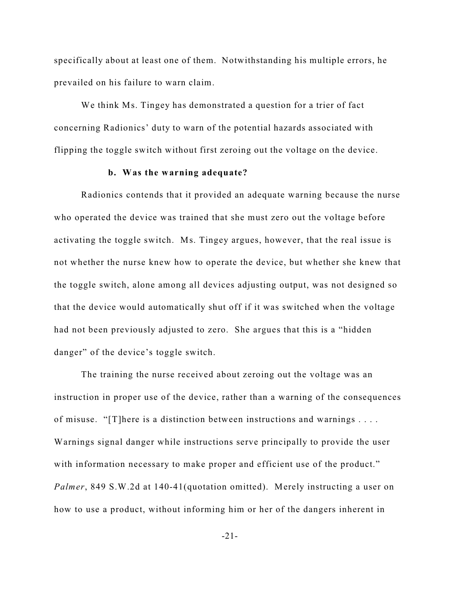specifically about at least one of them. Notwithstanding his multiple errors, he prevailed on his failure to warn claim.

We think Ms. Tingey has demonstrated a question for a trier of fact concerning Radionics' duty to warn of the potential hazards associated with flipping the toggle switch without first zeroing out the voltage on the device.

#### **b. Was the warning adequate?**

Radionics contends that it provided an adequate warning because the nurse who operated the device was trained that she must zero out the voltage before activating the toggle switch. Ms. Tingey argues, however, that the real issue is not whether the nurse knew how to operate the device, but whether she knew that the toggle switch, alone among all devices adjusting output, was not designed so that the device would automatically shut off if it was switched when the voltage had not been previously adjusted to zero. She argues that this is a "hidden danger" of the device's toggle switch.

The training the nurse received about zeroing out the voltage was an instruction in proper use of the device, rather than a warning of the consequences of misuse. "[T]here is a distinction between instructions and warnings . . . . Warnings signal danger while instructions serve principally to provide the user with information necessary to make proper and efficient use of the product." *Palmer*, 849 S.W.2d at 140-41(quotation omitted). Merely instructing a user on how to use a product, without informing him or her of the dangers inherent in

-21-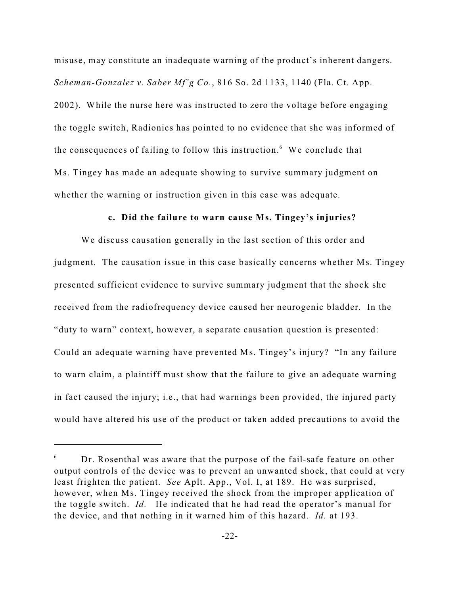misuse, may constitute an inadequate warning of the product's inherent dangers. *Scheman-Gonzalez v. Saber Mf'g Co.*, 816 So. 2d 1133, 1140 (Fla. Ct. App. 2002). While the nurse here was instructed to zero the voltage before engaging the toggle switch, Radionics has pointed to no evidence that she was informed of the consequences of failing to follow this instruction. $6$  We conclude that Ms. Tingey has made an adequate showing to survive summary judgment on whether the warning or instruction given in this case was adequate.

### **c. Did the failure to warn cause Ms. Tingey's injuries?**

We discuss causation generally in the last section of this order and judgment. The causation issue in this case basically concerns whether Ms. Tingey presented sufficient evidence to survive summary judgment that the shock she received from the radiofrequency device caused her neurogenic bladder. In the "duty to warn" context, however, a separate causation question is presented: Could an adequate warning have prevented Ms. Tingey's injury? "In any failure to warn claim, a plaintiff must show that the failure to give an adequate warning in fact caused the injury; i.e., that had warnings been provided, the injured party would have altered his use of the product or taken added precautions to avoid the

 $6$  Dr. Rosenthal was aware that the purpose of the fail-safe feature on other output controls of the device was to prevent an unwanted shock, that could at very least frighten the patient. *See* Aplt. App., Vol. I, at 189. He was surprised, however, when Ms. Tingey received the shock from the improper application of the toggle switch. *Id.* He indicated that he had read the operator's manual for the device, and that nothing in it warned him of this hazard. *Id.* at 193.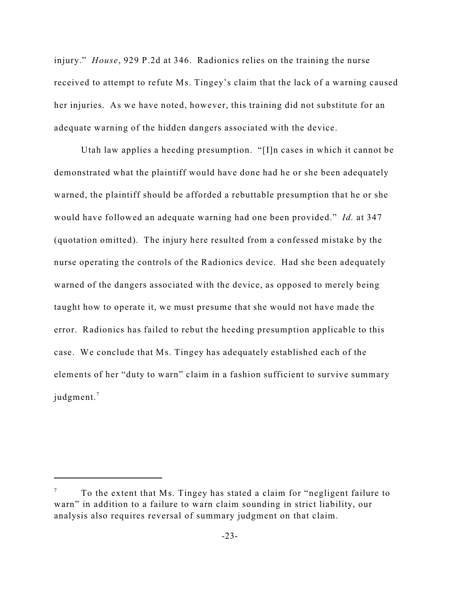injury." *House*, 929 P.2d at 346. Radionics relies on the training the nurse received to attempt to refute Ms. Tingey's claim that the lack of a warning caused her injuries. As we have noted, however, this training did not substitute for an adequate warning of the hidden dangers associated with the device.

Utah law applies a heeding presumption. "[I]n cases in which it cannot be demonstrated what the plaintiff would have done had he or she been adequately warned, the plaintiff should be afforded a rebuttable presumption that he or she would have followed an adequate warning had one been provided." *Id.* at 347 (quotation omitted). The injury here resulted from a confessed mistake by the nurse operating the controls of the Radionics device. Had she been adequately warned of the dangers associated with the device, as opposed to merely being taught how to operate it, we must presume that she would not have made the error. Radionics has failed to rebut the heeding presumption applicable to this case. We conclude that Ms. Tingey has adequately established each of the elements of her "duty to warn" claim in a fashion sufficient to survive summary judgment.<sup>7</sup>

To the extent that Ms. Tingey has stated a claim for "negligent failure to <sup>7</sup> warn" in addition to a failure to warn claim sounding in strict liability, our analysis also requires reversal of summary judgment on that claim.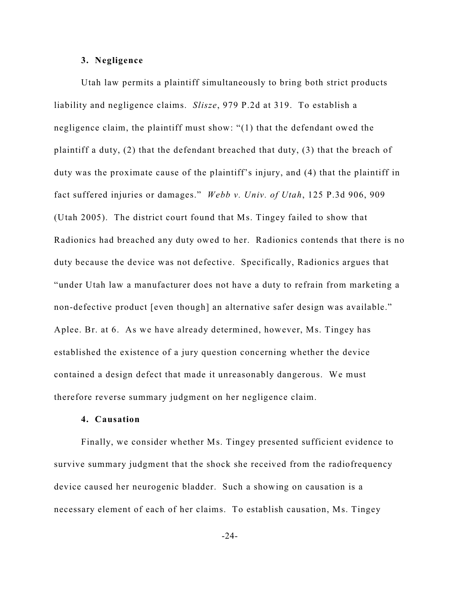#### **3. Negligence**

Utah law permits a plaintiff simultaneously to bring both strict products liability and negligence claims. *Slisze*, 979 P.2d at 319. To establish a negligence claim, the plaintiff must show: "(1) that the defendant owed the plaintiff a duty, (2) that the defendant breached that duty, (3) that the breach of duty was the proximate cause of the plaintiff's injury, and (4) that the plaintiff in fact suffered injuries or damages." *Webb v. Univ. of Utah*, 125 P.3d 906, 909 (Utah 2005). The district court found that Ms. Tingey failed to show that Radionics had breached any duty owed to her. Radionics contends that there is no duty because the device was not defective. Specifically, Radionics argues that "under Utah law a manufacturer does not have a duty to refrain from marketing a non-defective product [even though] an alternative safer design was available." Aplee. Br. at 6. As we have already determined, however, Ms. Tingey has established the existence of a jury question concerning whether the device contained a design defect that made it unreasonably dangerous. We must therefore reverse summary judgment on her negligence claim.

## **4. Causation**

Finally, we consider whether Ms. Tingey presented sufficient evidence to survive summary judgment that the shock she received from the radiofrequency device caused her neurogenic bladder. Such a showing on causation is a necessary element of each of her claims. To establish causation, Ms. Tingey

-24-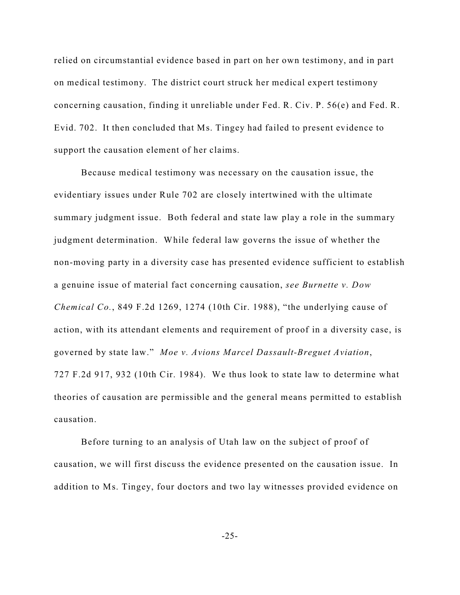relied on circumstantial evidence based in part on her own testimony, and in part on medical testimony. The district court struck her medical expert testimony concerning causation, finding it unreliable under Fed. R. Civ. P. 56(e) and Fed. R. Evid. 702. It then concluded that Ms. Tingey had failed to present evidence to support the causation element of her claims.

Because medical testimony was necessary on the causation issue, the evidentiary issues under Rule 702 are closely intertwined with the ultimate summary judgment issue. Both federal and state law play a role in the summary judgment determination. While federal law governs the issue of whether the non-moving party in a diversity case has presented evidence sufficient to establish a genuine issue of material fact concerning causation, *see Burnette v. Dow Chemical Co.*, 849 F.2d 1269, 1274 (10th Cir. 1988), "the underlying cause of action, with its attendant elements and requirement of proof in a diversity case, is governed by state law." *Moe v. Avions Marcel Dassault-Breguet Aviation*, 727 F.2d 917, 932 (10th Cir. 1984). We thus look to state law to determine what theories of causation are permissible and the general means permitted to establish causation.

Before turning to an analysis of Utah law on the subject of proof of causation, we will first discuss the evidence presented on the causation issue. In addition to Ms. Tingey, four doctors and two lay witnesses provided evidence on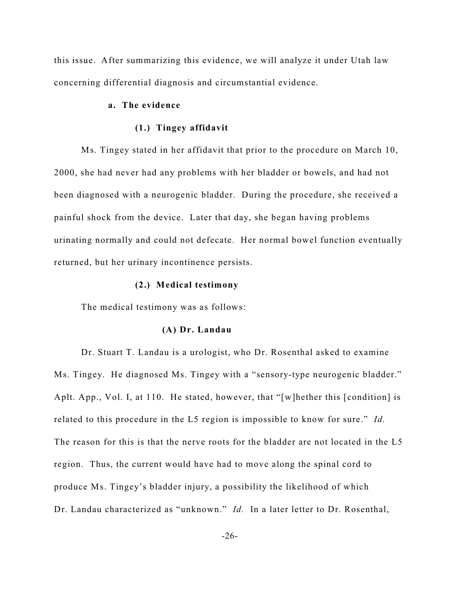this issue. After summarizing this evidence, we will analyze it under Utah law concerning differential diagnosis and circumstantial evidence.

# **a. The evidence**

#### **(1.) Tingey affidavit**

Ms. Tingey stated in her affidavit that prior to the procedure on March 10, 2000, she had never had any problems with her bladder or bowels, and had not been diagnosed with a neurogenic bladder. During the procedure, she received a painful shock from the device. Later that day, she began having problems urinating normally and could not defecate. Her normal bowel function eventually returned, but her urinary incontinence persists.

### **(2.) Medical testimony**

The medical testimony was as follows:

#### **(A) Dr. Landau**

Dr. Stuart T. Landau is a urologist, who Dr. Rosenthal asked to examine Ms. Tingey. He diagnosed Ms. Tingey with a "sensory-type neurogenic bladder." Aplt. App., Vol. I, at 110. He stated, however, that "[w]hether this [condition] is related to this procedure in the L5 region is impossible to know for sure." *Id.* The reason for this is that the nerve roots for the bladder are not located in the L5 region. Thus, the current would have had to move along the spinal cord to produce Ms. Tingey's bladder injury, a possibility the likelihood of which Dr. Landau characterized as "unknown." *Id.* In a later letter to Dr. Rosenthal,

-26-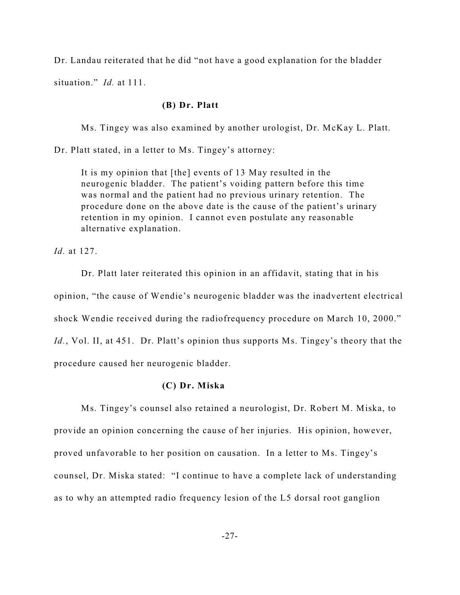Dr. Landau reiterated that he did "not have a good explanation for the bladder situation." *Id.* at 111.

### **(B) Dr. Platt**

Ms. Tingey was also examined by another urologist, Dr. McKay L. Platt.

Dr. Platt stated, in a letter to Ms. Tingey's attorney:

It is my opinion that [the] events of 13 May resulted in the neurogenic bladder. The patient's voiding pattern before this time was normal and the patient had no previous urinary retention. The procedure done on the above date is the cause of the patient's urinary retention in my opinion. I cannot even postulate any reasonable alternative explanation.

*Id.* at 127.

Dr. Platt later reiterated this opinion in an affidavit, stating that in his opinion, "the cause of Wendie's neurogenic bladder was the inadvertent electrical shock Wendie received during the radiofrequency procedure on March 10, 2000." *Id.*, Vol. II, at 451. Dr. Platt's opinion thus supports Ms. Tingey's theory that the procedure caused her neurogenic bladder.

### **(C) Dr. Miska**

Ms. Tingey's counsel also retained a neurologist, Dr. Robert M. Miska, to provide an opinion concerning the cause of her injuries. His opinion, however, proved unfavorable to her position on causation. In a letter to Ms. Tingey's counsel, Dr. Miska stated: "I continue to have a complete lack of understanding as to why an attempted radio frequency lesion of the L5 dorsal root ganglion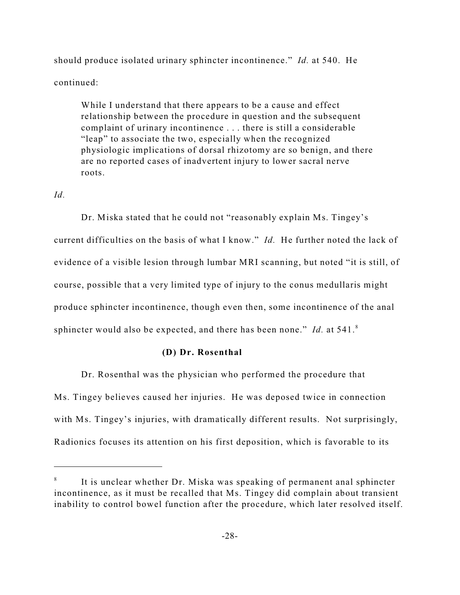should produce isolated urinary sphincter incontinence." *Id.* at 540. He continued:

While I understand that there appears to be a cause and effect relationship between the procedure in question and the subsequent complaint of urinary incontinence . . . there is still a considerable "leap" to associate the two, especially when the recognized physiologic implications of dorsal rhizotomy are so benign, and there are no reported cases of inadvertent injury to lower sacral nerve roots.

# *Id.*

Dr. Miska stated that he could not "reasonably explain Ms. Tingey's current difficulties on the basis of what I know." *Id.* He further noted the lack of evidence of a visible lesion through lumbar MRI scanning, but noted "it is still, of course, possible that a very limited type of injury to the conus medullaris might produce sphincter incontinence, though even then, some incontinence of the anal sphincter would also be expected, and there has been none." *Id.* at 541.<sup>8</sup>

# **(D) Dr. Rosenthal**

Dr. Rosenthal was the physician who performed the procedure that Ms. Tingey believes caused her injuries. He was deposed twice in connection with Ms. Tingey's injuries, with dramatically different results. Not surprisingly, Radionics focuses its attention on his first deposition, which is favorable to its

It is unclear whether Dr. Miska was speaking of permanent anal sphincter incontinence, as it must be recalled that Ms. Tingey did complain about transient inability to control bowel function after the procedure, which later resolved itself.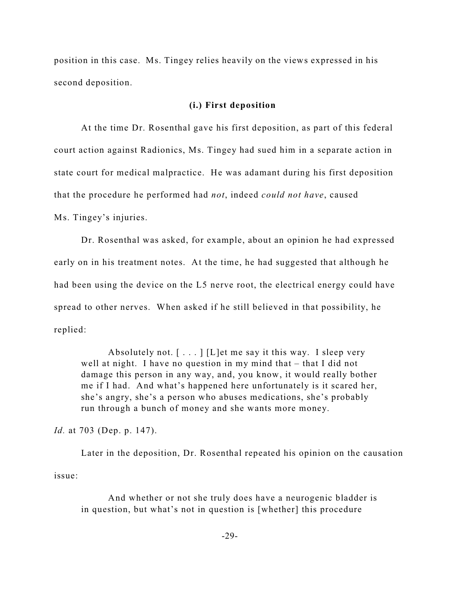position in this case. Ms. Tingey relies heavily on the views expressed in his second deposition.

### **(i.) First deposition**

At the time Dr. Rosenthal gave his first deposition, as part of this federal court action against Radionics, Ms. Tingey had sued him in a separate action in state court for medical malpractice. He was adamant during his first deposition that the procedure he performed had *not*, indeed *could not have*, caused Ms. Tingey's injuries.

Dr. Rosenthal was asked, for example, about an opinion he had expressed early on in his treatment notes. At the time, he had suggested that although he had been using the device on the L5 nerve root, the electrical energy could have spread to other nerves. When asked if he still believed in that possibility, he replied:

Absolutely not.  $\lceil \ldots \rceil$  [L]et me say it this way. I sleep very well at night. I have no question in my mind that – that I did not damage this person in any way, and, you know, it would really bother me if I had. And what's happened here unfortunately is it scared her, she's angry, she's a person who abuses medications, she's probably run through a bunch of money and she wants more money.

*Id.* at 703 (Dep. p. 147).

Later in the deposition, Dr. Rosenthal repeated his opinion on the causation issue:

And whether or not she truly does have a neurogenic bladder is in question, but what's not in question is [whether] this procedure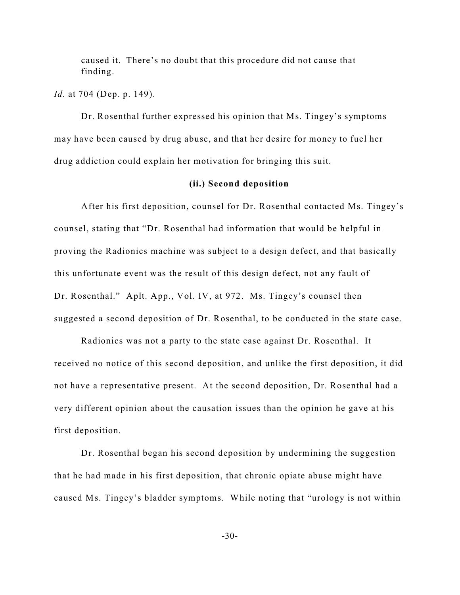caused it. There's no doubt that this procedure did not cause that finding.

*Id.* at 704 (Dep. p. 149).

Dr. Rosenthal further expressed his opinion that Ms. Tingey's symptoms may have been caused by drug abuse, and that her desire for money to fuel her drug addiction could explain her motivation for bringing this suit.

#### **(ii.) Second deposition**

After his first deposition, counsel for Dr. Rosenthal contacted Ms. Tingey's counsel, stating that "Dr. Rosenthal had information that would be helpful in proving the Radionics machine was subject to a design defect, and that basically this unfortunate event was the result of this design defect, not any fault of Dr. Rosenthal." Aplt. App., Vol. IV, at 972. Ms. Tingey's counsel then suggested a second deposition of Dr. Rosenthal, to be conducted in the state case.

Radionics was not a party to the state case against Dr. Rosenthal. It received no notice of this second deposition, and unlike the first deposition, it did not have a representative present. At the second deposition, Dr. Rosenthal had a very different opinion about the causation issues than the opinion he gave at his first deposition.

Dr. Rosenthal began his second deposition by undermining the suggestion that he had made in his first deposition, that chronic opiate abuse might have caused Ms. Tingey's bladder symptoms. While noting that "urology is not within

-30-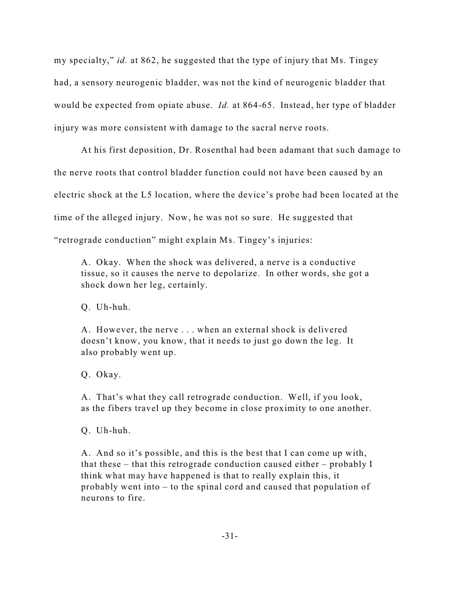my specialty," *id.* at 862, he suggested that the type of injury that Ms. Tingey had, a sensory neurogenic bladder, was not the kind of neurogenic bladder that would be expected from opiate abuse. *Id.* at 864-65. Instead, her type of bladder injury was more consistent with damage to the sacral nerve roots.

At his first deposition, Dr. Rosenthal had been adamant that such damage to the nerve roots that control bladder function could not have been caused by an electric shock at the L5 location, where the device's probe had been located at the time of the alleged injury. Now, he was not so sure. He suggested that "retrograde conduction" might explain Ms. Tingey's injuries:

A. Okay. When the shock was delivered, a nerve is a conductive tissue, so it causes the nerve to depolarize. In other words, she got a shock down her leg, certainly.

Q. Uh-huh.

A. However, the nerve . . . when an external shock is delivered doesn't know, you know, that it needs to just go down the leg. It also probably went up.

Q. Okay.

A. That's what they call retrograde conduction. Well, if you look, as the fibers travel up they become in close proximity to one another.

Q. Uh-huh.

A. And so it's possible, and this is the best that I can come up with, that these – that this retrograde conduction caused either – probably I think what may have happened is that to really explain this, it probably went into – to the spinal cord and caused that population of neurons to fire.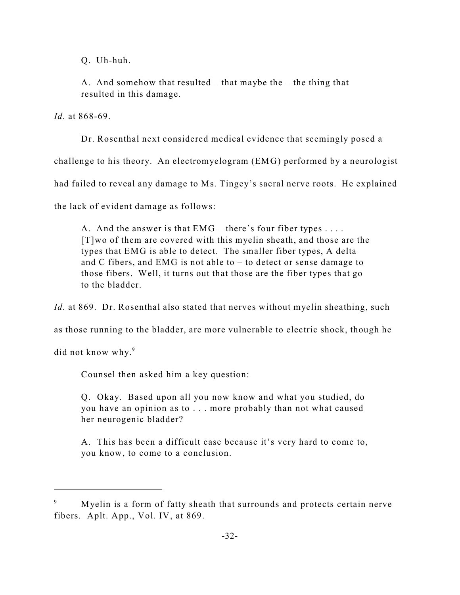Q. Uh-huh.

A. And somehow that resulted – that maybe the – the thing that resulted in this damage.

*Id.* at 868-69.

Dr. Rosenthal next considered medical evidence that seemingly posed a

challenge to his theory. An electromyelogram (EMG) performed by a neurologist

had failed to reveal any damage to Ms. Tingey's sacral nerve roots. He explained

the lack of evident damage as follows:

A. And the answer is that  $EMG$  – there's four fiber types .... [T]wo of them are covered with this myelin sheath, and those are the types that EMG is able to detect. The smaller fiber types, A delta and C fibers, and EMG is not able to – to detect or sense damage to those fibers. Well, it turns out that those are the fiber types that go to the bladder.

*Id.* at 869. Dr. Rosenthal also stated that nerves without myelin sheathing, such

as those running to the bladder, are more vulnerable to electric shock, though he

did not know why.<sup>9</sup>

Counsel then asked him a key question:

Q. Okay. Based upon all you now know and what you studied, do you have an opinion as to . . . more probably than not what caused her neurogenic bladder?

A. This has been a difficult case because it's very hard to come to, you know, to come to a conclusion.

Myelin is a form of fatty sheath that surrounds and protects certain nerve fibers. Aplt. App., Vol. IV, at 869.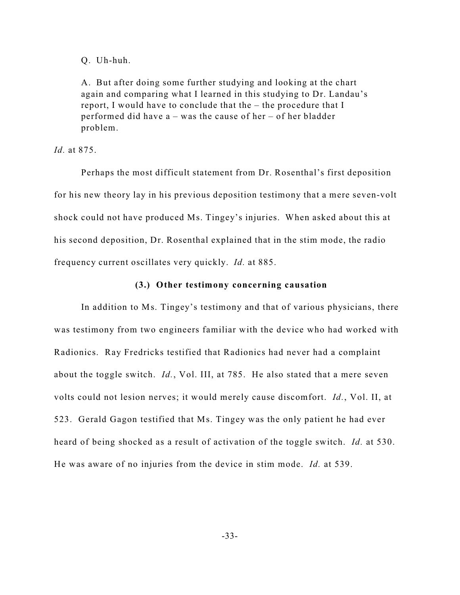Q. Uh-huh.

A. But after doing some further studying and looking at the chart again and comparing what I learned in this studying to Dr. Landau's report, I would have to conclude that the – the procedure that I performed did have a – was the cause of her – of her bladder problem.

*Id.* at 875.

Perhaps the most difficult statement from Dr. Rosenthal's first deposition for his new theory lay in his previous deposition testimony that a mere seven-volt shock could not have produced Ms. Tingey's injuries. When asked about this at his second deposition, Dr. Rosenthal explained that in the stim mode, the radio frequency current oscillates very quickly. *Id.* at 885.

## **(3.) Other testimony concerning causation**

In addition to Ms. Tingey's testimony and that of various physicians, there was testimony from two engineers familiar with the device who had worked with Radionics. Ray Fredricks testified that Radionics had never had a complaint about the toggle switch. *Id.*, Vol. III, at 785. He also stated that a mere seven volts could not lesion nerves; it would merely cause discomfort. *Id.*, Vol. II, at 523. Gerald Gagon testified that Ms. Tingey was the only patient he had ever heard of being shocked as a result of activation of the toggle switch. *Id.* at 530. He was aware of no injuries from the device in stim mode. *Id.* at 539.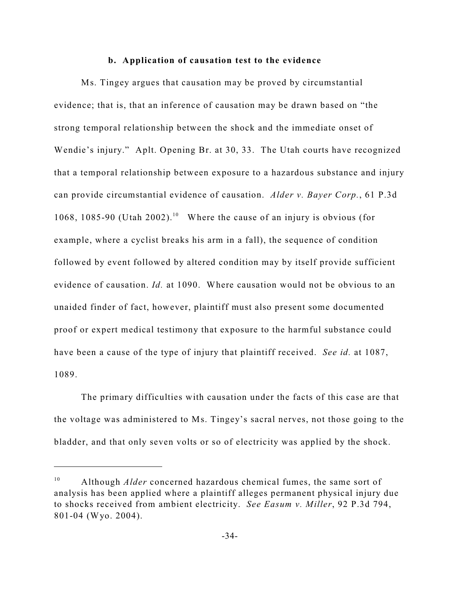#### **b. Application of causation test to the evidence**

Ms. Tingey argues that causation may be proved by circumstantial evidence; that is, that an inference of causation may be drawn based on "the strong temporal relationship between the shock and the immediate onset of Wendie's injury." Aplt. Opening Br. at 30, 33. The Utah courts have recognized that a temporal relationship between exposure to a hazardous substance and injury can provide circumstantial evidence of causation. *Alder v. Bayer Corp.*, 61 P.3d 1068, 1085-90 (Utah 2002).<sup>10</sup> Where the cause of an injury is obvious (for example, where a cyclist breaks his arm in a fall), the sequence of condition followed by event followed by altered condition may by itself provide sufficient evidence of causation. *Id.* at 1090. Where causation would not be obvious to an unaided finder of fact, however, plaintiff must also present some documented proof or expert medical testimony that exposure to the harmful substance could have been a cause of the type of injury that plaintiff received. *See id.* at 1087, 1089.

The primary difficulties with causation under the facts of this case are that the voltage was administered to Ms. Tingey's sacral nerves, not those going to the bladder, and that only seven volts or so of electricity was applied by the shock.

<sup>&</sup>lt;sup>10</sup> Although *Alder* concerned hazardous chemical fumes, the same sort of analysis has been applied where a plaintiff alleges permanent physical injury due to shocks received from ambient electricity. *See Easum v. Miller*, 92 P.3d 794, 801-04 (Wyo. 2004).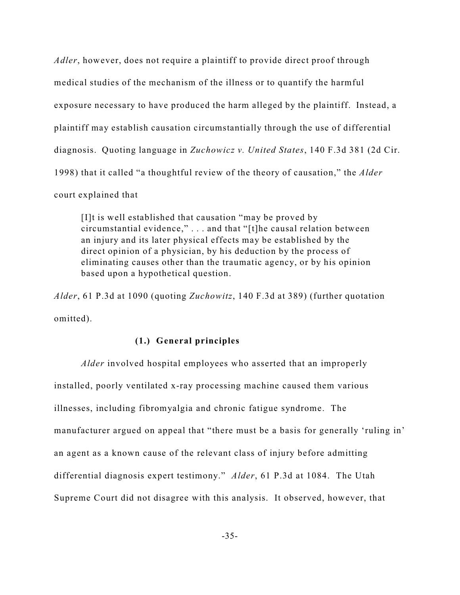*Adler*, however, does not require a plaintiff to provide direct proof through medical studies of the mechanism of the illness or to quantify the harmful exposure necessary to have produced the harm alleged by the plaintiff. Instead, a plaintiff may establish causation circumstantially through the use of differential diagnosis. Quoting language in *Zuchowicz v. United States*, 140 F.3d 381 (2d Cir. 1998) that it called "a thoughtful review of the theory of causation," the *Alder* court explained that

[I]t is well established that causation "may be proved by circumstantial evidence," . . . and that "[t]he causal relation between an injury and its later physical effects may be established by the direct opinion of a physician, by his deduction by the process of eliminating causes other than the traumatic agency, or by his opinion based upon a hypothetical question.

*Alder*, 61 P.3d at 1090 (quoting *Zuchowitz*, 140 F.3d at 389) (further quotation omitted).

## **(1.) General principles**

*Alder* involved hospital employees who asserted that an improperly installed, poorly ventilated x-ray processing machine caused them various illnesses, including fibromyalgia and chronic fatigue syndrome. The manufacturer argued on appeal that "there must be a basis for generally 'ruling in' an agent as a known cause of the relevant class of injury before admitting differential diagnosis expert testimony." *Alder*, 61 P.3d at 1084. The Utah Supreme Court did not disagree with this analysis. It observed, however, that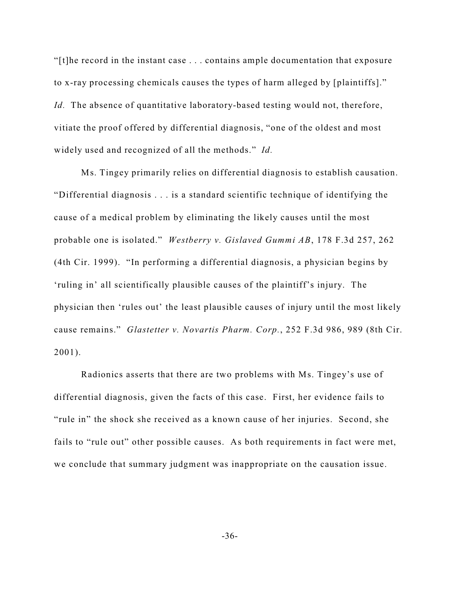"[t]he record in the instant case . . . contains ample documentation that exposure to x-ray processing chemicals causes the types of harm alleged by [plaintiffs]." *Id.* The absence of quantitative laboratory-based testing would not, therefore, vitiate the proof offered by differential diagnosis, "one of the oldest and most widely used and recognized of all the methods." *Id.*

Ms. Tingey primarily relies on differential diagnosis to establish causation. "Differential diagnosis . . . is a standard scientific technique of identifying the cause of a medical problem by eliminating the likely causes until the most probable one is isolated." *Westberry v. Gislaved Gummi AB*, 178 F.3d 257, 262 (4th Cir. 1999). "In performing a differential diagnosis, a physician begins by 'ruling in' all scientifically plausible causes of the plaintiff's injury. The physician then 'rules out' the least plausible causes of injury until the most likely cause remains." *Glastetter v. Novartis Pharm. Corp.*, 252 F.3d 986, 989 (8th Cir. 2001).

Radionics asserts that there are two problems with Ms. Tingey's use of differential diagnosis, given the facts of this case. First, her evidence fails to "rule in" the shock she received as a known cause of her injuries. Second, she fails to "rule out" other possible causes. As both requirements in fact were met, we conclude that summary judgment was inappropriate on the causation issue.

-36-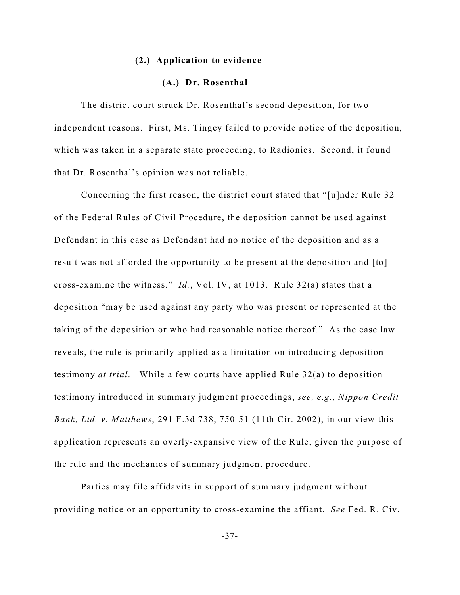#### **(2.) Application to evidence**

## **(A.) Dr. Rosenthal**

The district court struck Dr. Rosenthal's second deposition, for two independent reasons. First, Ms. Tingey failed to provide notice of the deposition, which was taken in a separate state proceeding, to Radionics. Second, it found that Dr. Rosenthal's opinion was not reliable.

Concerning the first reason, the district court stated that "[u]nder Rule 32 of the Federal Rules of Civil Procedure, the deposition cannot be used against Defendant in this case as Defendant had no notice of the deposition and as a result was not afforded the opportunity to be present at the deposition and [to] cross-examine the witness." *Id.*, Vol. IV, at 1013. Rule 32(a) states that a deposition "may be used against any party who was present or represented at the taking of the deposition or who had reasonable notice thereof." As the case law reveals, the rule is primarily applied as a limitation on introducing deposition testimony *at trial*. While a few courts have applied Rule 32(a) to deposition testimony introduced in summary judgment proceedings, *see, e.g.*, *Nippon Credit Bank, Ltd. v. Matthews*, 291 F.3d 738, 750-51 (11th Cir. 2002), in our view this application represents an overly-expansive view of the Rule, given the purpose of the rule and the mechanics of summary judgment procedure.

Parties may file affidavits in support of summary judgment without providing notice or an opportunity to cross-examine the affiant. *See* Fed. R. Civ.

-37-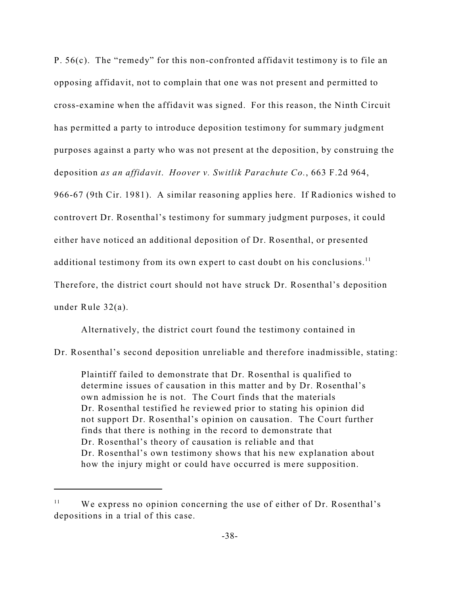P. 56(c). The "remedy" for this non-confronted affidavit testimony is to file an opposing affidavit, not to complain that one was not present and permitted to cross-examine when the affidavit was signed. For this reason, the Ninth Circuit has permitted a party to introduce deposition testimony for summary judgment purposes against a party who was not present at the deposition, by construing the deposition *as an affidavit*. *Hoover v. Switlik Parachute Co.*, 663 F.2d 964,

966-67 (9th Cir. 1981). A similar reasoning applies here. If Radionics wished to controvert Dr. Rosenthal's testimony for summary judgment purposes, it could either have noticed an additional deposition of Dr. Rosenthal, or presented additional testimony from its own expert to cast doubt on his conclusions.<sup>11</sup> Therefore, the district court should not have struck Dr. Rosenthal's deposition under Rule 32(a).

Alternatively, the district court found the testimony contained in

Dr. Rosenthal's second deposition unreliable and therefore inadmissible, stating:

Plaintiff failed to demonstrate that Dr. Rosenthal is qualified to determine issues of causation in this matter and by Dr. Rosenthal's own admission he is not. The Court finds that the materials Dr. Rosenthal testified he reviewed prior to stating his opinion did not support Dr. Rosenthal's opinion on causation. The Court further finds that there is nothing in the record to demonstrate that Dr. Rosenthal's theory of causation is reliable and that Dr. Rosenthal's own testimony shows that his new explanation about how the injury might or could have occurred is mere supposition.

 $W$ e express no opinion concerning the use of either of Dr. Rosenthal's depositions in a trial of this case.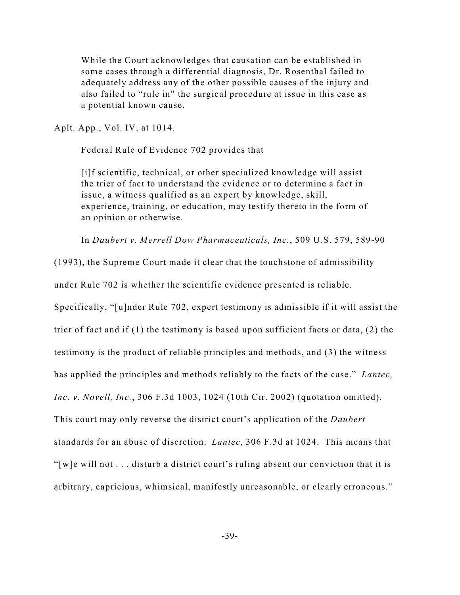While the Court acknowledges that causation can be established in some cases through a differential diagnosis, Dr. Rosenthal failed to adequately address any of the other possible causes of the injury and also failed to "rule in" the surgical procedure at issue in this case as a potential known cause.

Aplt. App., Vol. IV, at 1014.

Federal Rule of Evidence 702 provides that

[i]f scientific, technical, or other specialized knowledge will assist the trier of fact to understand the evidence or to determine a fact in issue, a witness qualified as an expert by knowledge, skill, experience, training, or education, may testify thereto in the form of an opinion or otherwise.

In *Daubert v. Merrell Dow Pharmaceuticals, Inc.*, 509 U.S. 579, 589-90

(1993), the Supreme Court made it clear that the touchstone of admissibility

under Rule 702 is whether the scientific evidence presented is reliable.

Specifically, "[u]nder Rule 702, expert testimony is admissible if it will assist the

trier of fact and if (1) the testimony is based upon sufficient facts or data, (2) the

testimony is the product of reliable principles and methods, and (3) the witness

has applied the principles and methods reliably to the facts of the case." *Lantec,*

*Inc. v. Novell, Inc.*, 306 F.3d 1003, 1024 (10th Cir. 2002) (quotation omitted).

This court may only reverse the district court's application of the *Daubert*

standards for an abuse of discretion. *Lantec*, 306 F.3d at 1024. This means that

"[w]e will not . . . disturb a district court's ruling absent our conviction that it is

arbitrary, capricious, whimsical, manifestly unreasonable, or clearly erroneous."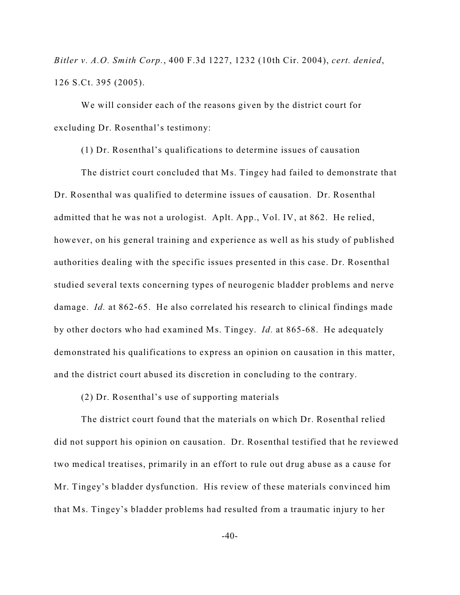*Bitler v. A.O. Smith Corp.*, 400 F.3d 1227, 1232 (10th Cir. 2004), *cert. denied*, 126 S.Ct. 395 (2005).

We will consider each of the reasons given by the district court for excluding Dr. Rosenthal's testimony:

(1) Dr. Rosenthal's qualifications to determine issues of causation

The district court concluded that Ms. Tingey had failed to demonstrate that Dr. Rosenthal was qualified to determine issues of causation. Dr. Rosenthal admitted that he was not a urologist. Aplt. App., Vol. IV, at 862. He relied, however, on his general training and experience as well as his study of published authorities dealing with the specific issues presented in this case. Dr. Rosenthal studied several texts concerning types of neurogenic bladder problems and nerve damage. *Id.* at 862-65. He also correlated his research to clinical findings made by other doctors who had examined Ms. Tingey. *Id.* at 865-68. He adequately demonstrated his qualifications to express an opinion on causation in this matter, and the district court abused its discretion in concluding to the contrary.

(2) Dr. Rosenthal's use of supporting materials

The district court found that the materials on which Dr. Rosenthal relied did not support his opinion on causation. Dr. Rosenthal testified that he reviewed two medical treatises, primarily in an effort to rule out drug abuse as a cause for Mr. Tingey's bladder dysfunction. His review of these materials convinced him that Ms. Tingey's bladder problems had resulted from a traumatic injury to her

 $-40-$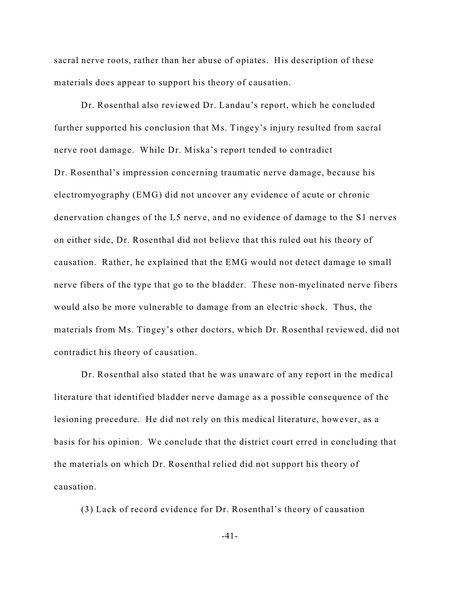sacral nerve roots, rather than her abuse of opiates. His description of these materials does appear to support his theory of causation.

Dr. Rosenthal also reviewed Dr. Landau's report, which he concluded further supported his conclusion that Ms. Tingey's injury resulted from sacral nerve root damage. While Dr. Miska's report tended to contradict Dr. Rosenthal's impression concerning traumatic nerve damage, because his electromyography (EMG) did not uncover any evidence of acute or chronic denervation changes of the L5 nerve, and no evidence of damage to the S1 nerves on either side, Dr. Rosenthal did not believe that this ruled out his theory of causation. Rather, he explained that the EMG would not detect damage to small nerve fibers of the type that go to the bladder. These non-myelinated nerve fibers would also be more vulnerable to damage from an electric shock. Thus, the materials from Ms. Tingey's other doctors, which Dr. Rosenthal reviewed, did not contradict his theory of causation.

Dr. Rosenthal also stated that he was unaware of any report in the medical literature that identified bladder nerve damage as a possible consequence of the lesioning procedure. He did not rely on this medical literature, however, as a basis for his opinion. We conclude that the district court erred in concluding that the materials on which Dr. Rosenthal relied did not support his theory of causation.

(3) Lack of record evidence for Dr. Rosenthal's theory of causation

-41-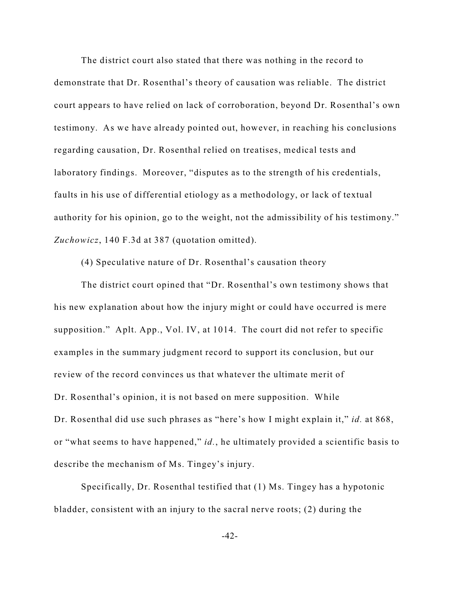The district court also stated that there was nothing in the record to demonstrate that Dr. Rosenthal's theory of causation was reliable. The district court appears to have relied on lack of corroboration, beyond Dr. Rosenthal's own testimony. As we have already pointed out, however, in reaching his conclusions regarding causation, Dr. Rosenthal relied on treatises, medical tests and laboratory findings. Moreover, "disputes as to the strength of his credentials, faults in his use of differential etiology as a methodology, or lack of textual authority for his opinion, go to the weight, not the admissibility of his testimony." *Zuchowicz*, 140 F.3d at 387 (quotation omitted).

(4) Speculative nature of Dr. Rosenthal's causation theory

The district court opined that "Dr. Rosenthal's own testimony shows that his new explanation about how the injury might or could have occurred is mere supposition." Aplt. App., Vol. IV, at 1014. The court did not refer to specific examples in the summary judgment record to support its conclusion, but our review of the record convinces us that whatever the ultimate merit of Dr. Rosenthal's opinion, it is not based on mere supposition. While Dr. Rosenthal did use such phrases as "here's how I might explain it," *id.* at 868, or "what seems to have happened," *id.*, he ultimately provided a scientific basis to describe the mechanism of Ms. Tingey's injury.

Specifically, Dr. Rosenthal testified that (1) Ms. Tingey has a hypotonic bladder, consistent with an injury to the sacral nerve roots; (2) during the

-42-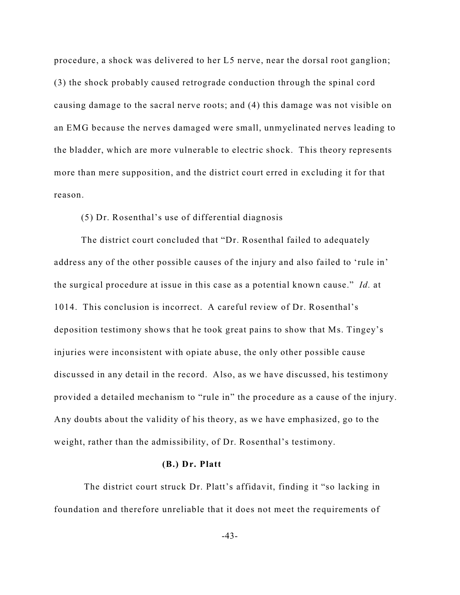procedure, a shock was delivered to her L5 nerve, near the dorsal root ganglion; (3) the shock probably caused retrograde conduction through the spinal cord causing damage to the sacral nerve roots; and (4) this damage was not visible on an EMG because the nerves damaged were small, unmyelinated nerves leading to the bladder, which are more vulnerable to electric shock. This theory represents more than mere supposition, and the district court erred in excluding it for that reason.

### (5) Dr. Rosenthal's use of differential diagnosis

The district court concluded that "Dr. Rosenthal failed to adequately address any of the other possible causes of the injury and also failed to 'rule in' the surgical procedure at issue in this case as a potential known cause." *Id.* at 1014. This conclusion is incorrect. A careful review of Dr. Rosenthal's deposition testimony shows that he took great pains to show that Ms. Tingey's injuries were inconsistent with opiate abuse, the only other possible cause discussed in any detail in the record. Also, as we have discussed, his testimony provided a detailed mechanism to "rule in" the procedure as a cause of the injury. Any doubts about the validity of his theory, as we have emphasized, go to the weight, rather than the admissibility, of Dr. Rosenthal's testimony.

#### **(B.) Dr. Platt**

 The district court struck Dr. Platt's affidavit, finding it "so lacking in foundation and therefore unreliable that it does not meet the requirements of

-43-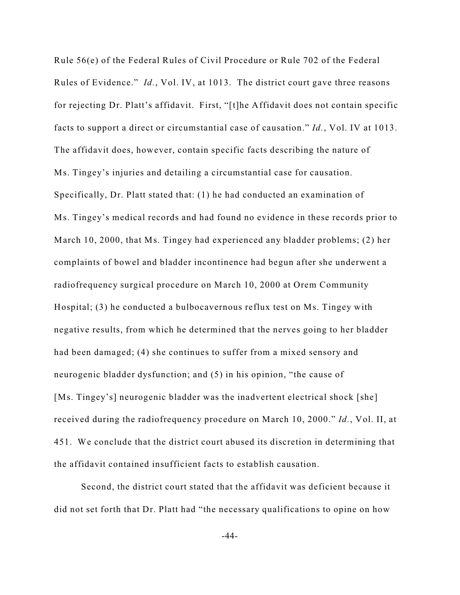Rule 56(e) of the Federal Rules of Civil Procedure or Rule 702 of the Federal Rules of Evidence." *Id.*, Vol. IV, at 1013. The district court gave three reasons for rejecting Dr. Platt's affidavit. First, "[t]he Affidavit does not contain specific facts to support a direct or circumstantial case of causation." *Id.*, Vol. IV at 1013. The affidavit does, however, contain specific facts describing the nature of Ms. Tingey's injuries and detailing a circumstantial case for causation. Specifically, Dr. Platt stated that: (1) he had conducted an examination of Ms. Tingey's medical records and had found no evidence in these records prior to March 10, 2000, that Ms. Tingey had experienced any bladder problems; (2) her complaints of bowel and bladder incontinence had begun after she underwent a radiofrequency surgical procedure on March 10, 2000 at Orem Community Hospital; (3) he conducted a bulbocavernous reflux test on Ms. Tingey with negative results, from which he determined that the nerves going to her bladder had been damaged; (4) she continues to suffer from a mixed sensory and neurogenic bladder dysfunction; and (5) in his opinion, "the cause of [Ms. Tingey's] neurogenic bladder was the inadvertent electrical shock [she] received during the radiofrequency procedure on March 10, 2000." *Id.*, Vol. II, at 451. We conclude that the district court abused its discretion in determining that the affidavit contained insufficient facts to establish causation.

Second, the district court stated that the affidavit was deficient because it did not set forth that Dr. Platt had "the necessary qualifications to opine on how

-44-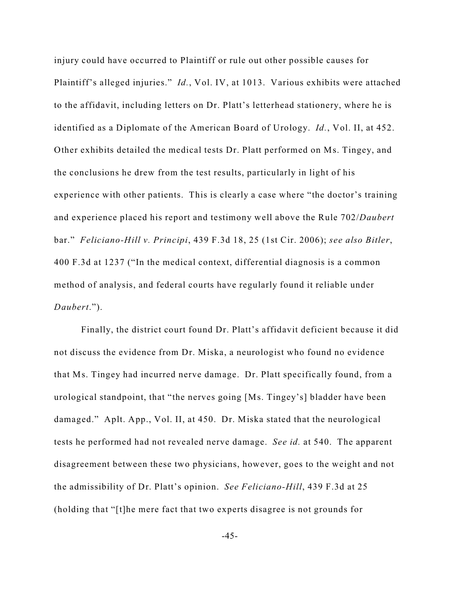injury could have occurred to Plaintiff or rule out other possible causes for Plaintiff's alleged injuries." *Id.*, Vol. IV, at 1013. Various exhibits were attached to the affidavit, including letters on Dr. Platt's letterhead stationery, where he is identified as a Diplomate of the American Board of Urology. *Id.*, Vol. II, at 452. Other exhibits detailed the medical tests Dr. Platt performed on Ms. Tingey, and the conclusions he drew from the test results, particularly in light of his experience with other patients. This is clearly a case where "the doctor's training and experience placed his report and testimony well above the Rule 702/*Daubert* bar." *Feliciano-Hill v. Principi*, 439 F.3d 18, 25 (1st Cir. 2006); *see also Bitler*, 400 F.3d at 1237 ("In the medical context, differential diagnosis is a common method of analysis, and federal courts have regularly found it reliable under *Daubert*.").

Finally, the district court found Dr. Platt's affidavit deficient because it did not discuss the evidence from Dr. Miska, a neurologist who found no evidence that Ms. Tingey had incurred nerve damage. Dr. Platt specifically found, from a urological standpoint, that "the nerves going [Ms. Tingey's] bladder have been damaged." Aplt. App., Vol. II, at 450. Dr. Miska stated that the neurological tests he performed had not revealed nerve damage. *See id.* at 540. The apparent disagreement between these two physicians, however, goes to the weight and not the admissibility of Dr. Platt's opinion. *See Feliciano-Hill*, 439 F.3d at 25 (holding that "[t]he mere fact that two experts disagree is not grounds for

-45-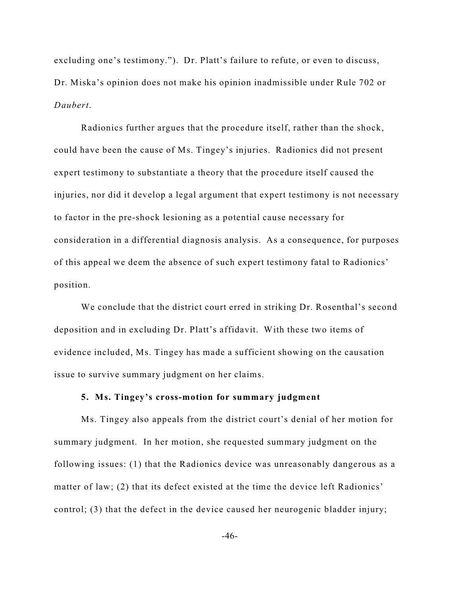excluding one's testimony."). Dr. Platt's failure to refute, or even to discuss, Dr. Miska's opinion does not make his opinion inadmissible under Rule 702 or *Daubert*.

Radionics further argues that the procedure itself, rather than the shock, could have been the cause of Ms. Tingey's injuries. Radionics did not present expert testimony to substantiate a theory that the procedure itself caused the injuries, nor did it develop a legal argument that expert testimony is not necessary to factor in the pre-shock lesioning as a potential cause necessary for consideration in a differential diagnosis analysis. As a consequence, for purposes of this appeal we deem the absence of such expert testimony fatal to Radionics' position.

We conclude that the district court erred in striking Dr. Rosenthal's second deposition and in excluding Dr. Platt's affidavit. With these two items of evidence included, Ms. Tingey has made a sufficient showing on the causation issue to survive summary judgment on her claims.

### **5. Ms. Tingey's cross-motion for summary judgment**

Ms. Tingey also appeals from the district court's denial of her motion for summary judgment. In her motion, she requested summary judgment on the following issues: (1) that the Radionics device was unreasonably dangerous as a matter of law; (2) that its defect existed at the time the device left Radionics' control; (3) that the defect in the device caused her neurogenic bladder injury;

-46-